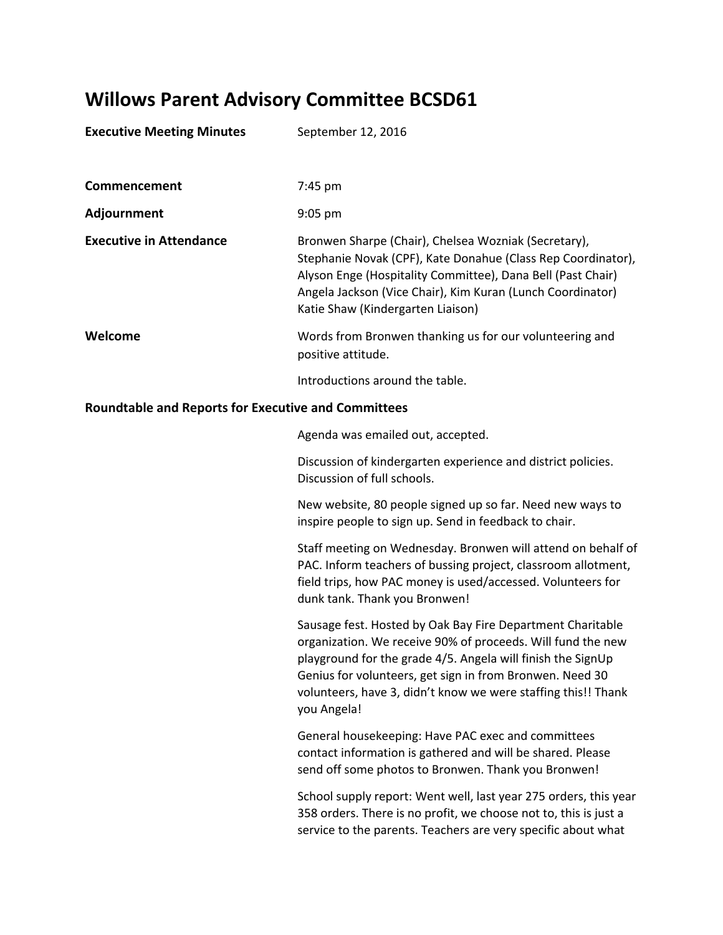## **Willows Parent Advisory Committee BCSD61**

| <b>Executive Meeting Minutes</b>                           | September 12, 2016                                                                                                                                                                                                                                                                     |
|------------------------------------------------------------|----------------------------------------------------------------------------------------------------------------------------------------------------------------------------------------------------------------------------------------------------------------------------------------|
| Commencement                                               | $7:45 \text{ pm}$                                                                                                                                                                                                                                                                      |
| Adjournment                                                | $9:05$ pm                                                                                                                                                                                                                                                                              |
| <b>Executive in Attendance</b>                             | Bronwen Sharpe (Chair), Chelsea Wozniak (Secretary),<br>Stephanie Novak (CPF), Kate Donahue (Class Rep Coordinator),<br>Alyson Enge (Hospitality Committee), Dana Bell (Past Chair)<br>Angela Jackson (Vice Chair), Kim Kuran (Lunch Coordinator)<br>Katie Shaw (Kindergarten Liaison) |
| Welcome                                                    | Words from Bronwen thanking us for our volunteering and<br>positive attitude.                                                                                                                                                                                                          |
|                                                            | Introductions around the table.                                                                                                                                                                                                                                                        |
| <b>Roundtable and Reports for Executive and Committees</b> |                                                                                                                                                                                                                                                                                        |

Agenda was emailed out, accepted.

Discussion of kindergarten experience and district policies. Discussion of full schools.

New website, 80 people signed up so far. Need new ways to inspire people to sign up. Send in feedback to chair.

Staff meeting on Wednesday. Bronwen will attend on behalf of PAC. Inform teachers of bussing project, classroom allotment, field trips, how PAC money is used/accessed. Volunteers for dunk tank. Thank you Bronwen!

Sausage fest. Hosted by Oak Bay Fire Department Charitable organization. We receive 90% of proceeds. Will fund the new playground for the grade 4/5. Angela will finish the SignUp Genius for volunteers, get sign in from Bronwen. Need 30 volunteers, have 3, didn't know we were staffing this!! Thank you Angela!

General housekeeping: Have PAC exec and committees contact information is gathered and will be shared. Please send off some photos to Bronwen. Thank you Bronwen!

School supply report: Went well, last year 275 orders, this year 358 orders. There is no profit, we choose not to, this is just a service to the parents. Teachers are very specific about what